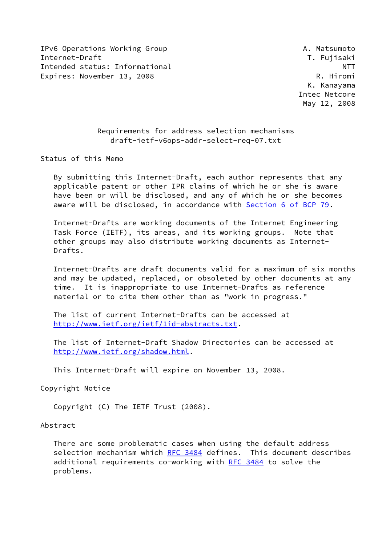IPv6 Operations Working Group **A. Matsumoto** Internet-Draft T. Fujisaki Intended status: Informational NTT Expires: November 13, 2008 R. Hiromi

 K. Kanayama Intec Netcore May 12, 2008

# Requirements for address selection mechanisms draft-ietf-v6ops-addr-select-req-07.txt

Status of this Memo

 By submitting this Internet-Draft, each author represents that any applicable patent or other IPR claims of which he or she is aware have been or will be disclosed, and any of which he or she becomes aware will be disclosed, in accordance with Section [6 of BCP 79.](https://datatracker.ietf.org/doc/pdf/bcp79#section-6)

 Internet-Drafts are working documents of the Internet Engineering Task Force (IETF), its areas, and its working groups. Note that other groups may also distribute working documents as Internet- Drafts.

 Internet-Drafts are draft documents valid for a maximum of six months and may be updated, replaced, or obsoleted by other documents at any time. It is inappropriate to use Internet-Drafts as reference material or to cite them other than as "work in progress."

 The list of current Internet-Drafts can be accessed at <http://www.ietf.org/ietf/1id-abstracts.txt>.

 The list of Internet-Draft Shadow Directories can be accessed at <http://www.ietf.org/shadow.html>.

This Internet-Draft will expire on November 13, 2008.

Copyright Notice

Copyright (C) The IETF Trust (2008).

Abstract

 There are some problematic cases when using the default address selection mechanism which [RFC 3484](https://datatracker.ietf.org/doc/pdf/rfc3484) defines. This document describes additional requirements co-working with [RFC 3484](https://datatracker.ietf.org/doc/pdf/rfc3484) to solve the problems.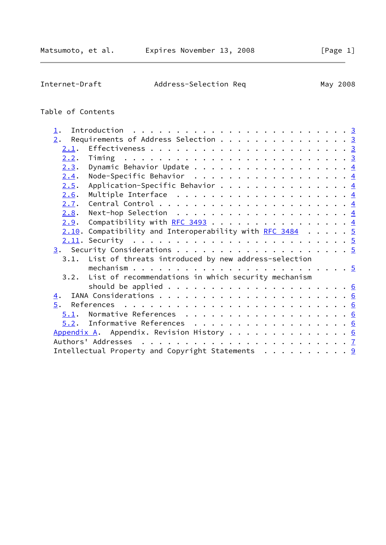| Internet-Draft | Address-Selection Req | May 2008 |
|----------------|-----------------------|----------|
|                |                       |          |

# Table of Contents

| $\mathbf{\underline{1}}$ . |                                                                      |  |
|----------------------------|----------------------------------------------------------------------|--|
| 2.                         | Requirements of Address Selection 3                                  |  |
| 2.1.                       |                                                                      |  |
| 2.2.                       |                                                                      |  |
| 2.3.                       | Dynamic Behavior Update 4                                            |  |
| 2.4.                       | Node-Specific Behavior $\frac{4}{5}$                                 |  |
| 2.5.                       | Application-Specific Behavior $\frac{4}{5}$                          |  |
| 2.6.                       | Multiple Interface $\dots \dots \dots \dots \dots \dots \dots \dots$ |  |
| 2.7.                       |                                                                      |  |
| 2.8.                       | Next-hop Selection $\ldots \ldots \ldots \ldots \ldots \ldots$       |  |
| 2.9.                       | Compatibility with RFC 3493 $\ldots$ 4                               |  |
|                            | $2.10$ . Compatibility and Interoperability with RFC 3484 5          |  |
|                            |                                                                      |  |
|                            |                                                                      |  |
|                            | 3.1. List of threats introduced by new address-selection             |  |
|                            |                                                                      |  |
| 3.2.                       | List of recommendations in which security mechanism                  |  |
|                            |                                                                      |  |
| $\overline{4}$ .           |                                                                      |  |
| 5.                         |                                                                      |  |
|                            | 5.1. Normative References 6                                          |  |
|                            | $5.2$ . Informative References 6                                     |  |
|                            | Appendix A. Appendix. Revision History 6                             |  |
|                            |                                                                      |  |
|                            |                                                                      |  |
|                            |                                                                      |  |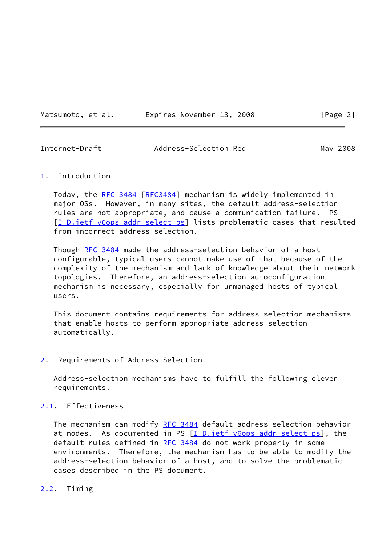Matsumoto, et al. **Expires November 13, 2008** [Page 2]

<span id="page-2-1"></span>

| Internet-Draft | Address-Selection Req | May 2008 |
|----------------|-----------------------|----------|
|                |                       |          |

#### <span id="page-2-0"></span>[1](#page-2-0). Introduction

 Today, the [RFC 3484 \[RFC3484](https://datatracker.ietf.org/doc/pdf/rfc3484)] mechanism is widely implemented in major OSs. However, in many sites, the default address-selection rules are not appropriate, and cause a communication failure. PS [\[I-D.ietf-v6ops-addr-select-ps](#page-6-6)] lists problematic cases that resulted from incorrect address selection.

 Though [RFC 3484](https://datatracker.ietf.org/doc/pdf/rfc3484) made the address-selection behavior of a host configurable, typical users cannot make use of that because of the complexity of the mechanism and lack of knowledge about their network topologies. Therefore, an address-selection autoconfiguration mechanism is necessary, especially for unmanaged hosts of typical users.

 This document contains requirements for address-selection mechanisms that enable hosts to perform appropriate address selection automatically.

#### <span id="page-2-2"></span>[2](#page-2-2). Requirements of Address Selection

 Address-selection mechanisms have to fulfill the following eleven requirements.

# <span id="page-2-3"></span>[2.1](#page-2-3). Effectiveness

The mechanism can modify [RFC 3484](https://datatracker.ietf.org/doc/pdf/rfc3484) default address-selection behavior at nodes. As documented in PS  $[I-D.iet f-v6ops-addr-select-ps]$ , the default rules defined in [RFC 3484](https://datatracker.ietf.org/doc/pdf/rfc3484) do not work properly in some environments. Therefore, the mechanism has to be able to modify the address-selection behavior of a host, and to solve the problematic cases described in the PS document.

#### <span id="page-2-4"></span>[2.2](#page-2-4). Timing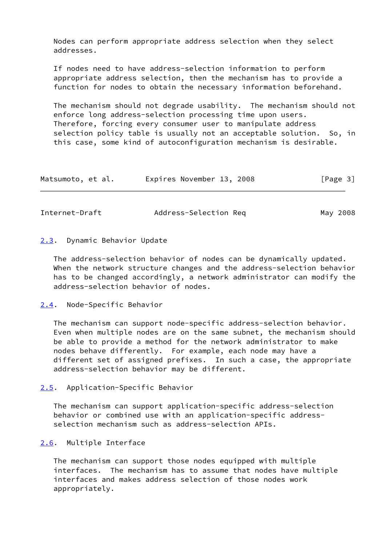Nodes can perform appropriate address selection when they select addresses.

 If nodes need to have address-selection information to perform appropriate address selection, then the mechanism has to provide a function for nodes to obtain the necessary information beforehand.

 The mechanism should not degrade usability. The mechanism should not enforce long address-selection processing time upon users. Therefore, forcing every consumer user to manipulate address selection policy table is usually not an acceptable solution. So, in this case, some kind of autoconfiguration mechanism is desirable.

| Matsumoto, et al. | Expires November 13, 2008 |  | [Page 3] |  |
|-------------------|---------------------------|--|----------|--|
|                   |                           |  |          |  |

<span id="page-3-1"></span>Internet-Draft Address-Selection Req May 2008

#### <span id="page-3-0"></span>[2.3](#page-3-0). Dynamic Behavior Update

 The address-selection behavior of nodes can be dynamically updated. When the network structure changes and the address-selection behavior has to be changed accordingly, a network administrator can modify the address-selection behavior of nodes.

#### <span id="page-3-2"></span>[2.4](#page-3-2). Node-Specific Behavior

 The mechanism can support node-specific address-selection behavior. Even when multiple nodes are on the same subnet, the mechanism should be able to provide a method for the network administrator to make nodes behave differently. For example, each node may have a different set of assigned prefixes. In such a case, the appropriate address-selection behavior may be different.

 The mechanism can support application-specific address-selection behavior or combined use with an application-specific address selection mechanism such as address-selection APIs.

# <span id="page-3-4"></span>[2.6](#page-3-4). Multiple Interface

 The mechanism can support those nodes equipped with multiple interfaces. The mechanism has to assume that nodes have multiple interfaces and makes address selection of those nodes work appropriately.

<span id="page-3-3"></span>[<sup>2.5</sup>](#page-3-3). Application-Specific Behavior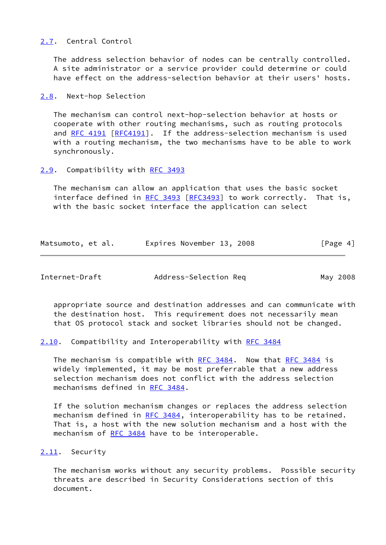# <span id="page-4-0"></span>[2.7](#page-4-0). Central Control

 The address selection behavior of nodes can be centrally controlled. A site administrator or a service provider could determine or could have effect on the address-selection behavior at their users' hosts.

<span id="page-4-1"></span>[2.8](#page-4-1). Next-hop Selection

 The mechanism can control next-hop-selection behavior at hosts or cooperate with other routing mechanisms, such as routing protocols and [RFC 4191 \[RFC4191](https://datatracker.ietf.org/doc/pdf/rfc4191)]. If the address-selection mechanism is used with a routing mechanism, the two mechanisms have to be able to work synchronously.

#### <span id="page-4-2"></span>[2.9](#page-4-2). Compatibility with [RFC 3493](https://datatracker.ietf.org/doc/pdf/rfc3493)

 The mechanism can allow an application that uses the basic socket interface defined in [RFC 3493](https://datatracker.ietf.org/doc/pdf/rfc3493) [[RFC3493](https://datatracker.ietf.org/doc/pdf/rfc3493)] to work correctly. That is, with the basic socket interface the application can select

| Matsumoto, et al. | Expires November 13, 2008 |  | [Page 4] |
|-------------------|---------------------------|--|----------|
|-------------------|---------------------------|--|----------|

<span id="page-4-4"></span>Internet-Draft Address-Selection Req May 2008

 appropriate source and destination addresses and can communicate with the destination host. This requirement does not necessarily mean that OS protocol stack and socket libraries should not be changed.

<span id="page-4-3"></span>[2.10](#page-4-3). Compatibility and Interoperability with [RFC 3484](https://datatracker.ietf.org/doc/pdf/rfc3484)

The mechanism is compatible with [RFC 3484](https://datatracker.ietf.org/doc/pdf/rfc3484). Now that RFC 3484 is widely implemented, it may be most preferrable that a new address selection mechanism does not conflict with the address selection mechanisms defined in [RFC 3484](https://datatracker.ietf.org/doc/pdf/rfc3484).

 If the solution mechanism changes or replaces the address selection mechanism defined in [RFC 3484](https://datatracker.ietf.org/doc/pdf/rfc3484), interoperability has to be retained. That is, a host with the new solution mechanism and a host with the mechanism of [RFC 3484](https://datatracker.ietf.org/doc/pdf/rfc3484) have to be interoperable.

#### <span id="page-4-5"></span>[2.11](#page-4-5). Security

 The mechanism works without any security problems. Possible security threats are described in Security Considerations section of this document.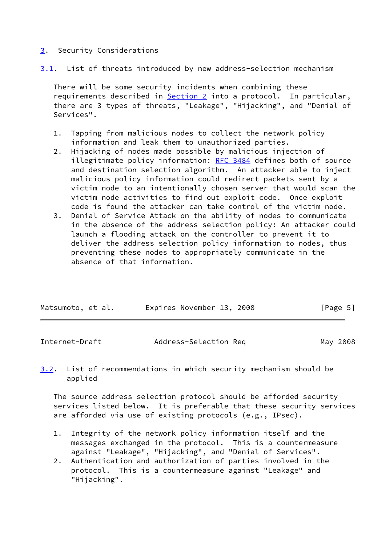# <span id="page-5-0"></span>[3](#page-5-0). Security Considerations

<span id="page-5-2"></span>[3.1](#page-5-2). List of threats introduced by new address-selection mechanism

 There will be some security incidents when combining these requirements described in [Section 2](#page-2-2) into a protocol. In particular, there are 3 types of threats, "Leakage", "Hijacking", and "Denial of Services".

- 1. Tapping from malicious nodes to collect the network policy information and leak them to unauthorized parties.
- 2. Hijacking of nodes made possible by malicious injection of illegitimate policy information: [RFC 3484](https://datatracker.ietf.org/doc/pdf/rfc3484) defines both of source and destination selection algorithm. An attacker able to inject malicious policy information could redirect packets sent by a victim node to an intentionally chosen server that would scan the victim node activities to find out exploit code. Once exploit code is found the attacker can take control of the victim node.
- 3. Denial of Service Attack on the ability of nodes to communicate in the absence of the address selection policy: An attacker could launch a flooding attack on the controller to prevent it to deliver the address selection policy information to nodes, thus preventing these nodes to appropriately communicate in the absence of that information.

| Matsumoto, et al. |  | Expires November 13, 2008 |  | [Page 5] |  |
|-------------------|--|---------------------------|--|----------|--|
|                   |  |                           |  |          |  |

<span id="page-5-1"></span>

| Internet-Draft | Address-Selection Req | May 2008 |
|----------------|-----------------------|----------|
|                |                       |          |

<span id="page-5-3"></span>[3.2](#page-5-3). List of recommendations in which security mechanism should be applied

 The source address selection protocol should be afforded security services listed below. It is preferable that these security services are afforded via use of existing protocols (e.g., IPsec).

- 1. Integrity of the network policy information itself and the messages exchanged in the protocol. This is a countermeasure against "Leakage", "Hijacking", and "Denial of Services".
- 2. Authentication and authorization of parties involved in the protocol. This is a countermeasure against "Leakage" and "Hijacking".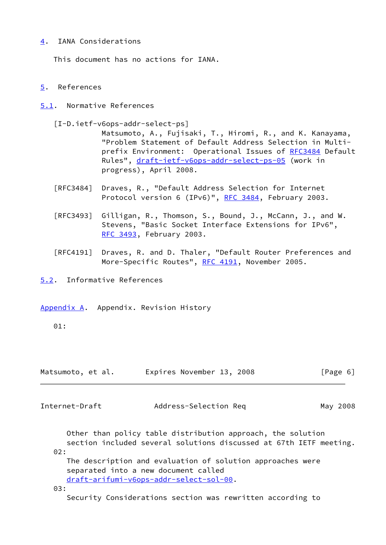# <span id="page-6-0"></span>[4](#page-6-0). IANA Considerations

This document has no actions for IANA.

#### <span id="page-6-1"></span>[5](#page-6-1). References

- <span id="page-6-2"></span>[5.1](#page-6-2). Normative References
	- [I-D.ietf-v6ops-addr-select-ps]

<span id="page-6-6"></span> Matsumoto, A., Fujisaki, T., Hiromi, R., and K. Kanayama, "Problem Statement of Default Address Selection in Multi prefix Environment: Operational Issues of [RFC3484](https://datatracker.ietf.org/doc/pdf/rfc3484) Default Rules", [draft-ietf-v6ops-addr-select-ps-05](https://datatracker.ietf.org/doc/pdf/draft-ietf-v6ops-addr-select-ps-05) (work in progress), April 2008.

- [RFC3484] Draves, R., "Default Address Selection for Internet Protocol version 6 (IPv6)", [RFC 3484,](https://datatracker.ietf.org/doc/pdf/rfc3484) February 2003.
- [RFC3493] Gilligan, R., Thomson, S., Bound, J., McCann, J., and W. Stevens, "Basic Socket Interface Extensions for IPv6", [RFC 3493,](https://datatracker.ietf.org/doc/pdf/rfc3493) February 2003.
- [RFC4191] Draves, R. and D. Thaler, "Default Router Preferences and More-Specific Routes", [RFC 4191](https://datatracker.ietf.org/doc/pdf/rfc4191), November 2005.

<span id="page-6-3"></span>[5.2](#page-6-3). Informative References

<span id="page-6-4"></span>[Appendix A.](#page-6-4) Appendix. Revision History

01:

| Matsumoto, et al. |  | Expires November 13, 2008 |  |  | [Page 6] |  |  |
|-------------------|--|---------------------------|--|--|----------|--|--|
|-------------------|--|---------------------------|--|--|----------|--|--|

<span id="page-6-5"></span>Internet-Draft Address-Selection Req May 2008

 Other than policy table distribution approach, the solution section included several solutions discussed at 67th IETF meeting. 02:

 The description and evaluation of solution approaches were separated into a new document called [draft-arifumi-v6ops-addr-select-sol-00](https://datatracker.ietf.org/doc/pdf/draft-arifumi-v6ops-addr-select-sol-00).

03:

Security Considerations section was rewritten according to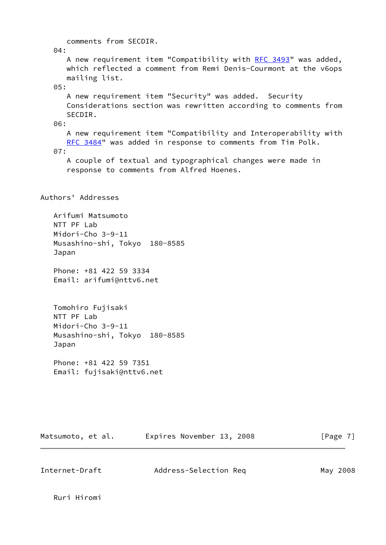comments from SECDIR. 04: A new requirement item "Compatibility with [RFC 3493](https://datatracker.ietf.org/doc/pdf/rfc3493)" was added, which reflected a comment from Remi Denis-Courmont at the v6ops mailing list. 05: A new requirement item "Security" was added. Security Considerations section was rewritten according to comments from SECDIR. 06: A new requirement item "Compatibility and Interoperability with [RFC 3484"](https://datatracker.ietf.org/doc/pdf/rfc3484) was added in response to comments from Tim Polk. 07: A couple of textual and typographical changes were made in response to comments from Alfred Hoenes. Authors' Addresses Arifumi Matsumoto NTT PF Lab Midori-Cho 3-9-11 Musashino-shi, Tokyo 180-8585 Japan Phone: +81 422 59 3334 Email: arifumi@nttv6.net Tomohiro Fujisaki NTT PF Lab Midori-Cho 3-9-11 Musashino-shi, Tokyo 180-8585 Japan Phone: +81 422 59 7351 Email: fujisaki@nttv6.net

Matsumoto, et al. Expires November 13, 2008 [Page 7]

Internet-Draft Address-Selection Req May 2008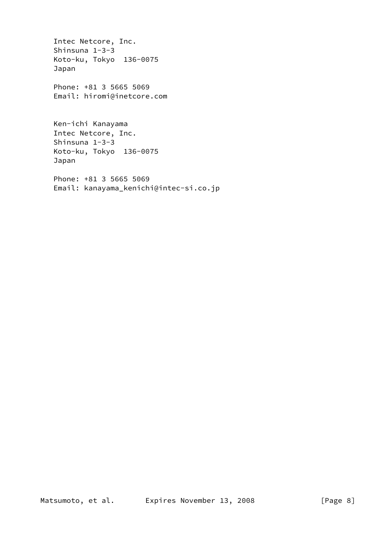Intec Netcore, Inc. Shinsuna 1-3-3 Koto-ku, Tokyo 136-0075 Japan Phone: +81 3 5665 5069 Email: hiromi@inetcore.com Ken-ichi Kanayama Intec Netcore, Inc. Shinsuna 1-3-3 Koto-ku, Tokyo 136-0075 Japan Phone: +81 3 5665 5069 Email: kanayama\_kenichi@intec-si.co.jp